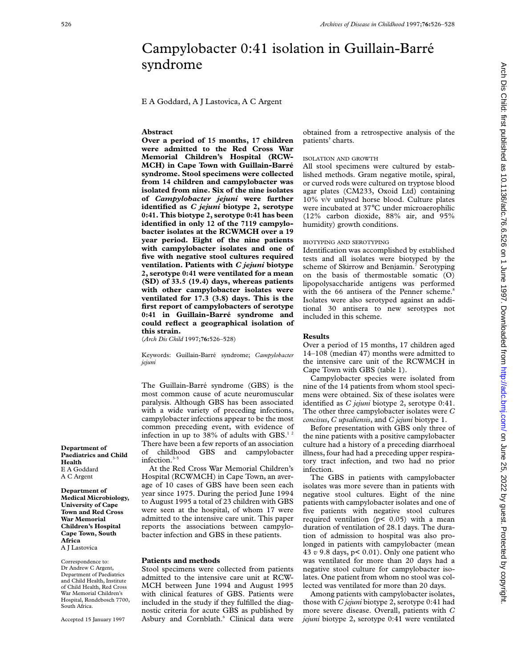# Campylobacter 0:41 isolation in Guillain-Barré syndrome

E A Goddard, A J Lastovica, A C Argent

## **Abstract**

**Over a period of 15 months, 17 children were admitted to the Red Cross War Memorial Children's Hospital (RCW-MCH) in Cape Town with Guillain-Barré syndrome. Stool specimens were collected from 14 children and campylobacter was isolated from nine. Six of the nine isolates of** *Campylobacter jejuni* **were further identified as** *C jejuni* **biotype 2, serotype 0:41. This biotype 2, serotype 0:41 has been identified in only 12 of the 7119 campylobacter isolates at the RCWMCH over a 19 year period. Eight of the nine patients with campylobacter isolates and one of five with negative stool cultures required ventilation. Patients with** *C jejuni* **biotype 2, serotype 0:41 were ventilated for a mean (SD) of 33.5 (19.4) days, whereas patients with other campylobacter isolates were ventilated for 17.3 (3.8) days. This is the first report of campylobacters of serotype 0:41 in Guillain-Barré syndrome and could reflect a geographical isolation of this strain.**

(*Arch Dis Child* 1997;**76:**526–528)

Keywords: Guillain-Barré syndrome; *Campylobacter jejuni*

The Guillain-Barré syndrome (GBS) is the most common cause of acute neuromuscular paralysis. Although GBS has been associated with a wide variety of preceding infections, campylobacter infections appear to be the most common preceding event, with evidence of infection in up to 38% of adults with GBS. $^{12}$ There have been a few reports of an association of childhood GBS and campylobacter infection.<sup>3-5</sup>

At the Red Cross War Memorial Children's Hospital (RCWMCH) in Cape Town, an average of 10 cases of GBS have been seen each year since 1975. During the period June 1994 to August 1995 a total of 23 children with GBS were seen at the hospital, of whom 17 were admitted to the intensive care unit. This paper reports the associations between campylobacter infection and GBS in these patients.

#### **Patients and methods**

Stool specimens were collected from patients admitted to the intensive care unit at RCW-MCH between June 1994 and August 1995 with clinical features of GBS. Patients were included in the study if they fulfilled the diagnostic criteria for acute GBS as published by Asbury and Cornblath.<sup>6</sup> Clinical data were obtained from a retrospective analysis of the patients' charts.

## ISOLATION AND GROWTH

All stool specimens were cultured by established methods. Gram negative motile, spiral, or curved rods were cultured on tryptose blood agar plates (CM233, Oxoid Ltd) containing 10% v/v unlysed horse blood. Culture plates were incubated at 37°C under microaerophilic (12% carbon dioxide, 88% air, and 95% humidity) growth conditions.

#### BIOTYPING AND SEROTYPING

Identification was accomplished by established tests and all isolates were biotyped by the scheme of Skirrow and Benjamin.<sup>7</sup> Serotyping on the basis of thermostable somatic (O) lipopolysaccharide antigens was performed with the 66 antisera of the Penner scheme.<sup>8</sup> Isolates were also serotyped against an additional 30 antisera to new serotypes not included in this scheme.

# **Results**

Over a period of 15 months, 17 children aged 14–108 (median 47) months were admitted to the intensive care unit of the RCWMCH in Cape Town with GBS (table 1).

Campylobacter species were isolated from nine of the 14 patients from whom stool specimens were obtained. Six of these isolates were identified as *C jejuni* biotype 2, serotype 0:41. The other three campylobacter isolates were *C concisus*, *C upsaliensis*, and *C jejuni* biotype 1.

Before presentation with GBS only three of the nine patients with a positive campylobacter culture had a history of a preceding diarrhoeal illness, four had had a preceding upper respiratory tract infection, and two had no prior infection.

The GBS in patients with campylobacter isolates was more severe than in patients with negative stool cultures. Eight of the nine patients with campylobacter isolates and one of five patients with negative stool cultures required ventilation ( $p$ < 0.05) with a mean duration of ventilation of 28.1 days. The duration of admission to hospital was also prolonged in patients with campylobacter (mean 43 *v* 9.8 days, p< 0.01). Only one patient who was ventilated for more than 20 days had a negative stool culture for campylobacter isolates. One patient from whom no stool was collected was ventilated for more than 20 days.

Among patients with campylobacter isolates, those with *C jejuni* biotype 2, serotype 0:41 had more severe disease. Overall, patients with *C jejuni* biotype 2, serotype 0:41 were ventilated

Arch Dis Child: first published as 10.1136/adc.76.6.526 on 1 June 1997. Downloaded from http://adc.bmj.com/ on June 25, 2022 by guest. Protected by copyright on June 25, 2022 by guest. Protected by copyright. <http://adc.bmj.com/> Arch Dis Child: first published as 10.1136/adc.76.6.526 on 1 June 1997. Downloaded from

**Department of Paediatrics and Child Health** E A Goddard A C Argent

**Department of Medical Microbiology, University of Cape Town and Red Cross War Memorial Children's Hospital Cape Town, South Africa**

A J Lastovica

Correspondence to: Dr Andrew C Argent, Department of Paediatrics and Child Health, Institute of Child Health, Red Cross War Memorial Children's Hospital, Rondebosch 7700, South Africa.

Accepted 15 January 1997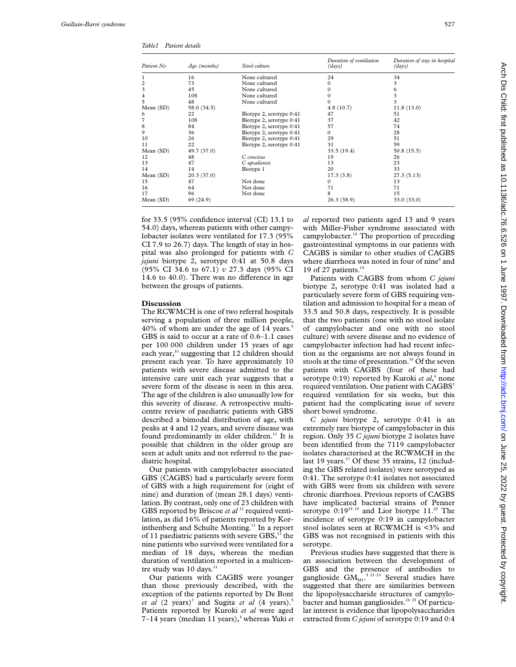*Table1 Patient details*

| Patient No  | Age (months) | Stool culture            | Duration of ventilation<br>(days) | Duration of stay in hospital<br>(days) |
|-------------|--------------|--------------------------|-----------------------------------|----------------------------------------|
| 1           | 16           | None cultured            | 24                                | 34                                     |
| 2           | 73           | None cultured            |                                   | 3                                      |
| 3           | 45           | None cultured            |                                   | 6                                      |
| 4           | 108          | None cultured            |                                   | 3                                      |
| 5           | 48           | None cultured            |                                   | 3                                      |
| Mean $(SD)$ | 58.0 (34.5)  |                          | 4.8(10.7)                         | 11.8(13.0)                             |
| 6           | 22           | Biotype 2, serotype 0:41 | 47                                | 51                                     |
| 7           | 108          | Biotype 2, serotype 0:41 | 37                                | 42                                     |
| 8           | 84           | Biotype 2, serotype 0:41 | 57                                | 74                                     |
| 9           | 36           | Biotype 2, serotype 0:41 | 0                                 | 28                                     |
| 10          | 26           | Biotype 2, serotype 0:41 | 29                                | 51                                     |
| 11          | 22           | Biotype 2, serotype 0:41 | 31                                | 59                                     |
| Mean (SD)   | 49.7 (37.0)  |                          | 33.5 (19.4)                       | 50.8(15.5)                             |
| 12          | 48           | C concisus               | 19                                | 26                                     |
| 13          | 47           | C upsaliensis            | 13                                | 23                                     |
| 14          | 14           | Biotype 1                | 20                                | 33                                     |
| Mean $(SD)$ | 20.3(37.0)   |                          | 17.3(3.8)                         | 27.3(5.13)                             |
| 15          | 47           | Not done                 | $\Omega$                          | 13                                     |
| 16          | 64           | Not done                 | 71                                | 71                                     |
| 17          | 96           | Not done                 | 8                                 | 15                                     |
| Mean $(SD)$ | 69 (24.9)    |                          | 26.3(38.9)                        | 33.0 (33.0)                            |

for 33.5 (95% confidence interval (CI) 13.1 to 54.0) days, whereas patients with other campylobacter isolates were ventilated for 17.3 (95% CI 7.9 to 26.7) days. The length of stay in hospital was also prolonged for patients with *C jejuni* biotype 2, serotype 0:41 at 50.8 days (95% CI 34.6 to 67.1) *v* 27.3 days (95% CI 14.6 to  $40.0$ ). There was no difference in age between the groups of patients.

## **Discussion**

The RCWMCH is one of two referral hospitals serving a population of three million people, 40% of whom are under the age of 14 years. GBS is said to occur at a rate of 0.6–1.1 cases per 100 000 children under 15 years of age each year,<sup>10</sup> suggesting that 12 children should present each year. To have approximately 10 patients with severe disease admitted to the intensive care unit each year suggests that a severe form of the disease is seen in this area. The age of the children is also unusually low for this severity of disease. A retrospective multicentre review of paediatric patients with GBS described a bimodal distribution of age, with peaks at 4 and 12 years, and severe disease was found predominantly in older children.<sup>11</sup> It is possible that children in the older group are seen at adult units and not referred to the paediatric hospital.

Our patients with campylobacter associated GBS (CAGBS) had a particularly severe form of GBS with a high requirement for (eight of nine) and duration of (mean 28.1 days) ventilation. By contrast, only one of 23 children with GBS reported by Briscoe *et al* <sup>12</sup> required ventilation, as did 16% of patients reported by Korinthenberg and Schulte Monting.<sup>11</sup> In a report of 11 paediatric patients with severe GBS, $^{13}$  the nine patients who survived were ventilated for a median of 18 days, whereas the median duration of ventilation reported in a multicentre study was  $10$  days.<sup>11</sup>

Our patients with CAGBS were younger than those previously described, with the exception of the patients reported by De Bont *et al* (2 years)<sup>3</sup> and Sugita *et al* (4 years).<sup>5</sup> Patients reported by Kuroki *et al* were aged 7–14 years (median 11 years),<sup>4</sup> whereas Yuki *et*  *al* reported two patients aged 13 and 9 years with Miller-Fisher syndrome associated with campylobacter.<sup>14</sup> The proportion of preceding gastrointestinal symptoms in our patients with CAGBS is similar to other studies of CAGBS where diarrhoea was noted in four of nine<sup>4</sup> and 19 of 27 patients.<sup>15</sup>

Patients with CAGBS from whom *C jejuni* biotype 2, serotype 0:41 was isolated had a particularly severe form of GBS requiring ventilation and admission to hospital for a mean of 33.5 and 50.8 days, respectively. It is possible that the two patients (one with no stool isolate of campylobacter and one with no stool culture) with severe disease and no evidence of campylobacter infection had had recent infection as the organisms are not always found in stools at the time of presentation.<sup>16</sup> Of the seven patients with CAGBS (four of these had serotype 0:19) reported by Kuroki *et al*, <sup>4</sup> none required ventilation. One patient with CAGBS<sup>3</sup> required ventilation for six weeks, but this patient had the complicating issue of severe short bowel syndrome.

*C jejuni* biotype 2, serotype 0:41 is an extremely rare biotype of campylobacter in this region. Only 35 *C jejuni* biotype 2 isolates have been identified from the 7119 campylobacter isolates characterised at the RCWMCH in the last 19 years.<sup>17</sup> Of these 35 strains, 12 (including the GBS related isolates) were serotyped as 0:41. The serotype 0:41 isolates not associated with GBS were from six children with severe chronic diarrhoea. Previous reports of CAGBS have implicated bacterial strains of Penner serotype  $0:19^{18}$  19 and Lior biotype  $11.^{20}$  The incidence of serotype 0:19 in campylobacter stool isolates seen at RCWMCH is <3% and GBS was not recognised in patients with this serotype.

Previous studies have suggested that there is an association between the development of GBS and the presence of antibodies to ganglioside GM $_{\textrm{\tiny{M1}}}$ .<sup>5 21–23</sup> Several studies have suggested that there are similarities between the lipopolysaccharide structures of campylobacter and human gangliosides.<sup>24</sup> <sup>25</sup> Of particular interest is evidence that lipopolysaccharides extracted from *C jejuni* of serotype 0:19 and 0:4